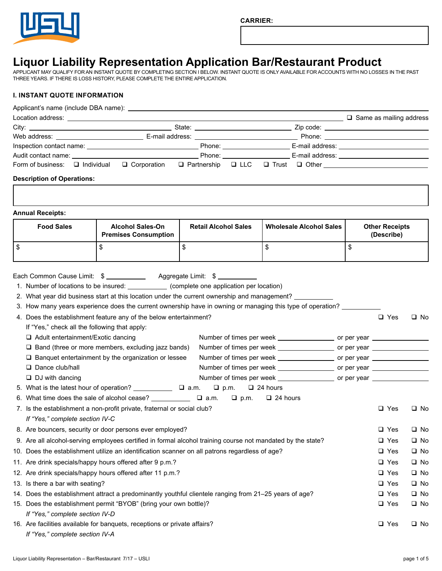

# **Liquor Liability Representation Application Bar/Restaurant Product**

APPLICANT MAY QUALIFY FOR AN INSTANT QUOTE BY COMPLETING SECTION I BELOW. INSTANT QUOTE IS ONLY AVAILABLE FOR ACCOUNTS WITH NO LOSSES IN THE PAST THREE YEARS. IF THERE IS LOSS HISTORY, PLEASE COMPLETE THE ENTIRE APPLICATION.

# **I. INSTANT QUOTE INFORMATION**

|                           |                                                                                                                      | Form of business: □ Individual  ❑ Corporation  ❑ Partnership  ❑ LLC  ❑ Trust  ❑ Other __________________________                                                                                                                                                                                                  |                             |                                         |                                                                                                                                                                                                                                                                                                                                        |                                     |              |
|---------------------------|----------------------------------------------------------------------------------------------------------------------|-------------------------------------------------------------------------------------------------------------------------------------------------------------------------------------------------------------------------------------------------------------------------------------------------------------------|-----------------------------|-----------------------------------------|----------------------------------------------------------------------------------------------------------------------------------------------------------------------------------------------------------------------------------------------------------------------------------------------------------------------------------------|-------------------------------------|--------------|
|                           |                                                                                                                      |                                                                                                                                                                                                                                                                                                                   |                             |                                         |                                                                                                                                                                                                                                                                                                                                        |                                     |              |
|                           | <b>Description of Operations:</b>                                                                                    |                                                                                                                                                                                                                                                                                                                   |                             |                                         |                                                                                                                                                                                                                                                                                                                                        |                                     |              |
|                           | <b>Annual Receipts:</b>                                                                                              |                                                                                                                                                                                                                                                                                                                   |                             |                                         |                                                                                                                                                                                                                                                                                                                                        |                                     |              |
|                           | <b>Food Sales</b>                                                                                                    | <b>Alcohol Sales-On</b><br><b>Premises Consumption</b>                                                                                                                                                                                                                                                            | <b>Retail Alcohol Sales</b> |                                         | <b>Wholesale Alcohol Sales</b>                                                                                                                                                                                                                                                                                                         | <b>Other Receipts</b><br>(Describe) |              |
| $\boldsymbol{\mathsf{S}}$ |                                                                                                                      | \$                                                                                                                                                                                                                                                                                                                | \$                          |                                         | \$                                                                                                                                                                                                                                                                                                                                     | \$                                  |              |
|                           | If "Yes," check all the following that apply:<br>$\Box$ Adult entertainment/Exotic dancing<br>$\Box$ Dance club/hall | 3. How many years experience does the current ownership have in owning or managing this type of operation? ______<br>4. Does the establishment feature any of the below entertainment?<br>$\Box$ Band (three or more members, excluding jazz bands)<br>$\Box$ Banquet entertainment by the organization or lessee |                             |                                         | Number of times per week ______________________ or per year ____________________<br>Number of times per week ____________________ or per year ________________<br>Number of times per week _______________________ or per year ___________________<br>Number of times per week _______________________ or per year ___________________ | $\Box$ Yes                          | $\square$ No |
|                           | $\Box$ DJ with dancing                                                                                               |                                                                                                                                                                                                                                                                                                                   |                             |                                         | Number of times per week ________________________ or per year __________________                                                                                                                                                                                                                                                       |                                     |              |
|                           |                                                                                                                      |                                                                                                                                                                                                                                                                                                                   |                             | $\Box$ p.m. $\Box$ 24 hours             |                                                                                                                                                                                                                                                                                                                                        |                                     |              |
|                           |                                                                                                                      | 6. What time does the sale of alcohol cease? ____________                                                                                                                                                                                                                                                         |                             | $\Box$ a.m. $\Box$ p.m. $\Box$ 24 hours |                                                                                                                                                                                                                                                                                                                                        |                                     |              |
|                           |                                                                                                                      | 7. Is the establishment a non-profit private, fraternal or social club?                                                                                                                                                                                                                                           |                             |                                         |                                                                                                                                                                                                                                                                                                                                        | $\Box$ Yes                          | □ No         |
|                           | If "Yes," complete section IV-C                                                                                      |                                                                                                                                                                                                                                                                                                                   |                             |                                         |                                                                                                                                                                                                                                                                                                                                        |                                     |              |
|                           |                                                                                                                      | 8. Are bouncers, security or door persons ever employed?                                                                                                                                                                                                                                                          |                             |                                         |                                                                                                                                                                                                                                                                                                                                        | $\Box$ Yes                          | $\square$ No |
|                           |                                                                                                                      | 9. Are all alcohol-serving employees certified in formal alcohol training course not mandated by the state?                                                                                                                                                                                                       |                             |                                         |                                                                                                                                                                                                                                                                                                                                        | $\Box$ Yes                          | $\square$ No |
|                           |                                                                                                                      | 10. Does the establishment utilize an identification scanner on all patrons regardless of age?                                                                                                                                                                                                                    |                             |                                         |                                                                                                                                                                                                                                                                                                                                        | $\Box$ Yes                          | $\square$ No |
|                           |                                                                                                                      | 11. Are drink specials/happy hours offered after 9 p.m.?                                                                                                                                                                                                                                                          |                             |                                         |                                                                                                                                                                                                                                                                                                                                        | $\Box$ Yes                          | $\square$ No |
|                           |                                                                                                                      | 12. Are drink specials/happy hours offered after 11 p.m.?                                                                                                                                                                                                                                                         |                             |                                         |                                                                                                                                                                                                                                                                                                                                        | $\Box$ Yes                          | $\square$ No |
|                           | 13. Is there a bar with seating?                                                                                     |                                                                                                                                                                                                                                                                                                                   |                             |                                         |                                                                                                                                                                                                                                                                                                                                        | $\Box$ Yes                          | $\square$ No |
|                           |                                                                                                                      | 14. Does the establishment attract a predominantly youthful clientele ranging from 21-25 years of age?                                                                                                                                                                                                            |                             |                                         |                                                                                                                                                                                                                                                                                                                                        | $\Box$ Yes                          | $\square$ No |
|                           | If "Yes," complete section IV-D                                                                                      | 15. Does the establishment permit "BYOB" (bring your own bottle)?                                                                                                                                                                                                                                                 |                             |                                         |                                                                                                                                                                                                                                                                                                                                        | $\Box$ Yes                          | $\square$ No |

16. Are facilities available for banquets, receptions or private affairs?  $\square$  Yes  $\square$  No  *If "Yes," complete section IV-A*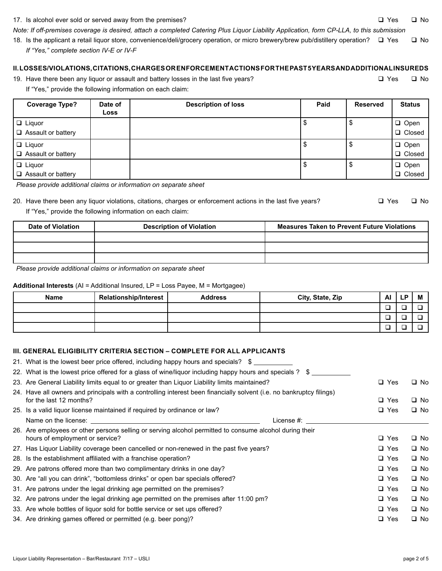#### Liquor Liability Representation – Bar/Restaurant 7/17 – USLI page 2 of 5

#### 17. Is alcohol ever sold or served away from the premises?  $\Box$  Yes  $\Box$  No

*Note: If off-premises coverage is desired, attach a completed Catering Plus Liquor Liability Application, form CP-LLA, to this submission*

18. Is the applicant a retail liquor store, convenience/deli/grocery operation, or micro brewery/brew pub/distillery operation?  $\square$  Yes  $\square$  No  *If "Yes," complete section IV-E or IV-F*

# **II. LOSSES/VIOLATIONS, CITATIONS, CHARGES OR ENFORCEMENT ACTIONS FOR THE PAST 5 YEARS AND ADDITIONAL INSUREDS**

19. Have there been any liquor or assault and battery losses in the last five years?  $\square$  Yes  $\square$  No If "Yes," provide the following information on each claim:

| <b>Coverage Type?</b>       | Date of | <b>Description of loss</b> | Paid | <b>Reserved</b> | <b>Status</b> |
|-----------------------------|---------|----------------------------|------|-----------------|---------------|
|                             | Loss    |                            |      |                 |               |
| $\Box$ Liquor               |         |                            |      | จ               | $\Box$ Open   |
| Assault or battery          |         |                            |      |                 | □ Closed      |
| $\Box$ Liquor               |         |                            |      | จ               | $\Box$ Open   |
| <b>□</b> Assault or battery |         |                            |      |                 | □ Closed      |
| $\Box$ Liquor               |         |                            |      | \$              | $\Box$ Open   |
| <b>□</b> Assault or battery |         |                            |      |                 | □ Closed      |

*Please provide additional claims or information on separate sheet*

# 20. Have there been any liquor violations, citations, charges or enforcement actions in the last five years?  $\square$  Yes  $\square$  No If "Yes," provide the following information on each claim:

| <b>Date of Violation</b> | <b>Description of Violation</b> | <b>Measures Taken to Prevent Future Violations</b> |
|--------------------------|---------------------------------|----------------------------------------------------|
|                          |                                 |                                                    |
|                          |                                 |                                                    |
|                          |                                 |                                                    |

*Please provide additional claims or information on separate sheet*

#### **Additional Interests** (AI = Additional Insured, LP = Loss Payee, M = Mortgagee)

| <b>Name</b> | <b>Relationship/Interest</b> | <b>Address</b> | City, State, Zip | Al     | LP. | M |
|-------------|------------------------------|----------------|------------------|--------|-----|---|
|             |                              |                |                  | —<br>_ |     |   |
|             |                              |                |                  | ─<br>- |     |   |
|             |                              |                |                  | −      | _   |   |

### **III. GENERAL ELIGIBILITY CRITERIA SECTION – COMPLETE FOR ALL APPLICANTS**

|                                 | $\Box$ Yes                                                                                                                                                                                                                                                                                                                                                                                                                                                                                                                                                                                                                                                                                                                                                                                                                                                                                                                                                                                                                                                                                                                                                                                                                                                   | $\square$ No |
|---------------------------------|--------------------------------------------------------------------------------------------------------------------------------------------------------------------------------------------------------------------------------------------------------------------------------------------------------------------------------------------------------------------------------------------------------------------------------------------------------------------------------------------------------------------------------------------------------------------------------------------------------------------------------------------------------------------------------------------------------------------------------------------------------------------------------------------------------------------------------------------------------------------------------------------------------------------------------------------------------------------------------------------------------------------------------------------------------------------------------------------------------------------------------------------------------------------------------------------------------------------------------------------------------------|--------------|
|                                 |                                                                                                                                                                                                                                                                                                                                                                                                                                                                                                                                                                                                                                                                                                                                                                                                                                                                                                                                                                                                                                                                                                                                                                                                                                                              |              |
| for the last 12 months?         | $\Box$ Yes                                                                                                                                                                                                                                                                                                                                                                                                                                                                                                                                                                                                                                                                                                                                                                                                                                                                                                                                                                                                                                                                                                                                                                                                                                                   | $\square$ No |
|                                 | $\Box$ Yes                                                                                                                                                                                                                                                                                                                                                                                                                                                                                                                                                                                                                                                                                                                                                                                                                                                                                                                                                                                                                                                                                                                                                                                                                                                   | $\Box$ No    |
| License #:                      |                                                                                                                                                                                                                                                                                                                                                                                                                                                                                                                                                                                                                                                                                                                                                                                                                                                                                                                                                                                                                                                                                                                                                                                                                                                              |              |
|                                 |                                                                                                                                                                                                                                                                                                                                                                                                                                                                                                                                                                                                                                                                                                                                                                                                                                                                                                                                                                                                                                                                                                                                                                                                                                                              |              |
| hours of employment or service? | $\Box$ Yes                                                                                                                                                                                                                                                                                                                                                                                                                                                                                                                                                                                                                                                                                                                                                                                                                                                                                                                                                                                                                                                                                                                                                                                                                                                   | $\square$ No |
|                                 | $\Box$ Yes                                                                                                                                                                                                                                                                                                                                                                                                                                                                                                                                                                                                                                                                                                                                                                                                                                                                                                                                                                                                                                                                                                                                                                                                                                                   | $\square$ No |
|                                 | $\Box$ Yes                                                                                                                                                                                                                                                                                                                                                                                                                                                                                                                                                                                                                                                                                                                                                                                                                                                                                                                                                                                                                                                                                                                                                                                                                                                   | $\square$ No |
|                                 | $\Box$ Yes                                                                                                                                                                                                                                                                                                                                                                                                                                                                                                                                                                                                                                                                                                                                                                                                                                                                                                                                                                                                                                                                                                                                                                                                                                                   | $\Box$ No    |
|                                 | $\Box$ Yes                                                                                                                                                                                                                                                                                                                                                                                                                                                                                                                                                                                                                                                                                                                                                                                                                                                                                                                                                                                                                                                                                                                                                                                                                                                   | $\square$ No |
|                                 | $\Box$ Yes                                                                                                                                                                                                                                                                                                                                                                                                                                                                                                                                                                                                                                                                                                                                                                                                                                                                                                                                                                                                                                                                                                                                                                                                                                                   | $\Box$ No    |
|                                 | $\Box$ Yes                                                                                                                                                                                                                                                                                                                                                                                                                                                                                                                                                                                                                                                                                                                                                                                                                                                                                                                                                                                                                                                                                                                                                                                                                                                   | $\square$ No |
|                                 | $\Box$ Yes                                                                                                                                                                                                                                                                                                                                                                                                                                                                                                                                                                                                                                                                                                                                                                                                                                                                                                                                                                                                                                                                                                                                                                                                                                                   | $\Box$ No    |
|                                 | $\Box$ Yes                                                                                                                                                                                                                                                                                                                                                                                                                                                                                                                                                                                                                                                                                                                                                                                                                                                                                                                                                                                                                                                                                                                                                                                                                                                   | $\Box$ No    |
|                                 | 21. What is the lowest beer price offered, including happy hours and specials? \$<br>22. What is the lowest price offered for a glass of wine/liquor including happy hours and specials ? \$<br>23. Are General Liability limits equal to or greater than Liquor Liability limits maintained?<br>24. Have all owners and principals with a controlling interest been financially solvent (i.e. no bankruptcy filings)<br>25. Is a valid liquor license maintained if required by ordinance or law?<br>26. Are employees or other persons selling or serving alcohol permitted to consume alcohol during their<br>27. Has Liquor Liability coverage been cancelled or non-renewed in the past five years?<br>28. Is the establishment affiliated with a franchise operation?<br>29. Are patrons offered more than two complimentary drinks in one day?<br>30. Are "all you can drink", "bottomless drinks" or open bar specials offered?<br>31. Are patrons under the legal drinking age permitted on the premises?<br>32. Are patrons under the legal drinking age permitted on the premises after 11:00 pm?<br>33. Are whole bottles of liquor sold for bottle service or set ups offered?<br>34. Are drinking games offered or permitted (e.g. beer pong)? |              |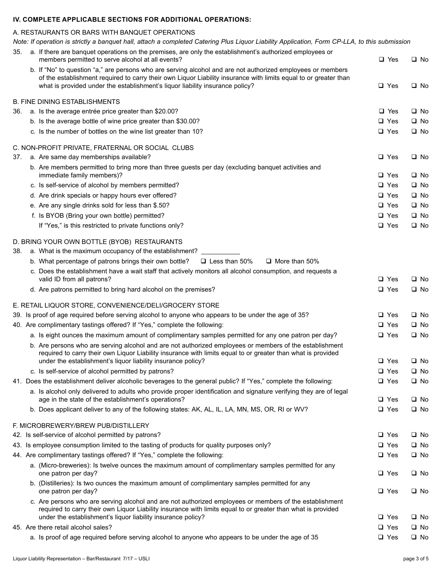# **IV. COMPLETE APPLICABLE SECTIONS FOR ADDITIONAL OPERATIONS:**

# A. RESTAURANTS OR BARS WITH BANQUET OPERATIONS

*Note: If operation is strictly a banquet hall, attach a completed Catering Plus Liquor Liability Application, Form CP-LLA, to this submission*

| 35. | a. If there are banguet operations on the premises, are only the establishment's authorized employees or<br>members permitted to serve alcohol at all events?                                                                                                                           | □ Yes                    | $\square$ No                 |
|-----|-----------------------------------------------------------------------------------------------------------------------------------------------------------------------------------------------------------------------------------------------------------------------------------------|--------------------------|------------------------------|
|     | b. If "No" to question "a," are persons who are serving alcohol and are not authorized employees or members<br>of the establishment required to carry their own Liquor Liability insurance with limits equal to or greater than                                                         |                          |                              |
|     | what is provided under the establishment's liquor liability insurance policy?                                                                                                                                                                                                           | $\Box$ Yes               | $\square$ No                 |
|     | <b>B. FINE DINING ESTABLISHMENTS</b>                                                                                                                                                                                                                                                    |                          |                              |
| 36. | a. Is the average entrée price greater than \$20.00?                                                                                                                                                                                                                                    | $\Box$ Yes               | $\square$ No                 |
|     | b. Is the average bottle of wine price greater than \$30.00?                                                                                                                                                                                                                            | $\Box$ Yes               | $\square$ No                 |
|     | c. Is the number of bottles on the wine list greater than 10?                                                                                                                                                                                                                           | $\Box$ Yes               | $\square$ No                 |
|     | C. NON-PROFIT PRIVATE, FRATERNAL OR SOCIAL CLUBS                                                                                                                                                                                                                                        |                          |                              |
| 37. | a. Are same day memberships available?                                                                                                                                                                                                                                                  | $\Box$ Yes               | $\square$ No                 |
|     | b. Are members permitted to bring more than three guests per day (excluding banquet activities and<br>immediate family members)?                                                                                                                                                        | $\Box$ Yes               | □ No                         |
|     | c. Is self-service of alcohol by members permitted?                                                                                                                                                                                                                                     | $\Box$ Yes               | $\square$ No                 |
|     | d. Are drink specials or happy hours ever offered?                                                                                                                                                                                                                                      | $\Box$ Yes               | $\square$ No                 |
|     | e. Are any single drinks sold for less than \$.50?                                                                                                                                                                                                                                      | $\square$ Yes            | $\square$ No                 |
|     | f. Is BYOB (Bring your own bottle) permitted?                                                                                                                                                                                                                                           | $\Box$ Yes               | $\square$ No                 |
|     | If "Yes," is this restricted to private functions only?                                                                                                                                                                                                                                 | $\Box$ Yes               | $\square$ No                 |
|     | D. BRING YOUR OWN BOTTLE (BYOB) RESTAURANTS                                                                                                                                                                                                                                             |                          |                              |
| 38. | a. What is the maximum occupancy of the establishment? _______                                                                                                                                                                                                                          |                          |                              |
|     | $\Box$ Less than 50%<br>$\Box$ More than 50%<br>b. What percentage of patrons brings their own bottle?                                                                                                                                                                                  |                          |                              |
|     | c. Does the establishment have a wait staff that actively monitors all alcohol consumption, and requests a                                                                                                                                                                              |                          |                              |
|     | valid ID from all patrons?                                                                                                                                                                                                                                                              | $\Box$ Yes               | $\square$ No                 |
|     | d. Are patrons permitted to bring hard alcohol on the premises?                                                                                                                                                                                                                         | $\Box$ Yes               | $\square$ No                 |
|     | E. RETAIL LIQUOR STORE, CONVENIENCE/DELI/GROCERY STORE                                                                                                                                                                                                                                  |                          |                              |
|     | 39. Is proof of age required before serving alcohol to anyone who appears to be under the age of 35?                                                                                                                                                                                    | $\Box$ Yes               | $\square$ No                 |
|     | 40. Are complimentary tastings offered? If "Yes," complete the following:                                                                                                                                                                                                               | $\Box$ Yes               | $\square$ No                 |
|     | a. Is eight ounces the maximum amount of complimentary samples permitted for any one patron per day?                                                                                                                                                                                    | $\Box$ Yes               | $\square$ No                 |
|     | b. Are persons who are serving alcohol and are not authorized employees or members of the establishment<br>required to carry their own Liquor Liability insurance with limits equal to or greater than what is provided<br>under the establishment's liquor liability insurance policy? | $\Box$ Yes               | ⊔ No                         |
|     | c. Is self-service of alcohol permitted by patrons?                                                                                                                                                                                                                                     | $\Box$ Yes               | □ No                         |
|     | 41. Does the establishment deliver alcoholic beverages to the general public? If "Yes," complete the following:                                                                                                                                                                         | $\Box$ Yes               | $\square$ No                 |
|     | a. Is alcohol only delivered to adults who provide proper identification and signature verifying they are of legal<br>age in the state of the establishment's operations?                                                                                                               | $\Box$ Yes               | $\square$ No                 |
|     | b. Does applicant deliver to any of the following states: AK, AL, IL, LA, MN, MS, OR, RI or WV?                                                                                                                                                                                         | $\Box$ Yes               | $\square$ No                 |
|     |                                                                                                                                                                                                                                                                                         |                          |                              |
|     | F. MICROBREWERY/BREW PUB/DISTILLERY                                                                                                                                                                                                                                                     |                          |                              |
|     | 42. Is self-service of alcohol permitted by patrons?<br>43. Is employee consumption limited to the tasting of products for quality purposes only?                                                                                                                                       | $\Box$ Yes<br>$\Box$ Yes | $\square$ No<br>$\square$ No |
|     | 44. Are complimentary tastings offered? If "Yes," complete the following:                                                                                                                                                                                                               | $\Box$ Yes               | $\square$ No                 |
|     |                                                                                                                                                                                                                                                                                         |                          |                              |
|     | a. (Micro-breweries): Is twelve ounces the maximum amount of complimentary samples permitted for any<br>one patron per day?                                                                                                                                                             | $\Box$ Yes               | $\square$ No                 |
|     | b. (Distilleries): Is two ounces the maximum amount of complimentary samples permitted for any<br>one patron per day?                                                                                                                                                                   | $\Box$ Yes               | $\square$ No                 |
|     | c. Are persons who are serving alcohol and are not authorized employees or members of the establishment<br>required to carry their own Liquor Liability insurance with limits equal to or greater than what is provided                                                                 |                          |                              |
|     | under the establishment's liquor liability insurance policy?                                                                                                                                                                                                                            | $\Box$ Yes               | $\square$ No                 |
|     | 45. Are there retail alcohol sales?                                                                                                                                                                                                                                                     | $\Box$ Yes               | $\square$ No                 |
|     | a. Is proof of age required before serving alcohol to anyone who appears to be under the age of 35                                                                                                                                                                                      | $\Box$ Yes               | $\square$ No                 |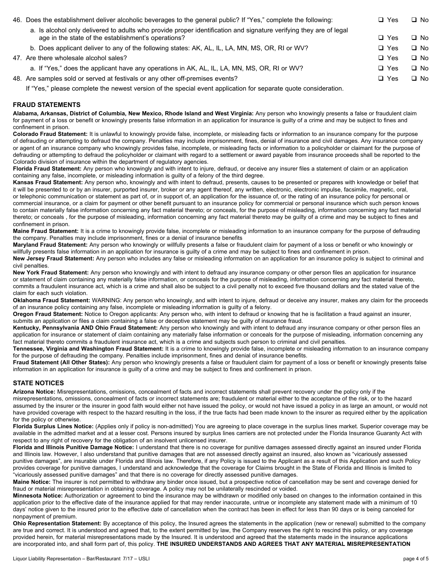| 46. Does the establishment deliver alcoholic beverages to the general public? If "Yes," complete the following:                                                           | $\Box$ Yes | □ No      |
|---------------------------------------------------------------------------------------------------------------------------------------------------------------------------|------------|-----------|
| a. Is alcohol only delivered to adults who provide proper identification and signature verifying they are of legal<br>age in the state of the establishment's operations? | $\Box$ Yes | $\Box$ No |
| b. Does applicant deliver to any of the following states: AK, AL, IL, LA, MN, MS, OR, RI or WV?                                                                           | $\Box$ Yes | $\Box$ No |
| 47. Are there wholesale alcohol sales?                                                                                                                                    | $\Box$ Yes | $\Box$ No |
| a. If "Yes," does the applicant have any operations in AK, AL, IL, LA, MN, MS, OR, RI or WV?                                                                              | $\Box$ Yes | $\Box$ No |
| 48. Are samples sold or served at festivals or any other off-premises events?                                                                                             | $\Box$ Yes | $\Box$ No |
|                                                                                                                                                                           |            |           |

If "Yes," please complete the newest version of the special event application for separate quote consideration.

### **FRAUD STATEMENTS**

**Alabama, Arkansas, District of Columbia, New Mexico, Rhode Island and West Virginia:** Any person who knowingly presents a false or fraudulent claim for payment of a loss or benefit or knowingly presents false information in an application for insurance is guilty of a crime and may be subject to fines and confinement in prison.

**Colorado Fraud Statement:** It is unlawful to knowingly provide false, incomplete, or misleading facts or information to an insurance company for the purpose of defrauding or attempting to defraud the company. Penalties may include imprisonment, fines, denial of insurance and civil damages. Any insurance company or agent of an insurance company who knowingly provides false, incomplete, or misleading facts or information to a policyholder or claimant for the purpose of defrauding or attempting to defraud the policyholder or claimant with regard to a settlement or award payable from insurance proceeds shall be reported to the Colorado division of insurance within the department of regulatory agencies.

**Florida Fraud Statement:** Any person who knowingly and with intent to injure, defraud, or deceive any insurer files a statement of claim or an application containing any false, incomplete, or misleading information is guilty of a felony of the third degree.

**Kansas Fraud Statement:** Any person who, knowingly and with intent to defraud, presents, causes to be presented or prepares with knowledge or belief that it will be presented to or by an insurer, purported insurer, broker or any agent thereof, any written, electronic, electronic impulse, facsimile, magnetic, oral, or telephonic communication or statement as part of, or in support of, an application for the issuance of, or the rating of an insurance policy for personal or commercial insurance, or a claim for payment or other benefit pursuant to an insurance policy for commercial or personal insurance which such person knows to contain materially false information concerning any fact material thereto; or conceals, for the purpose of misleading, information concerning any fact material thereto; or conceals , for the purpose of misleading, information concerning any fact material thereto may be guilty of a crime and may be subject to fines and confinement in prison.

Maine Fraud Statement: It is a crime to knowingly provide false, incomplete or misleading information to an insurance company for the purpose of defrauding the company. Penalties may include imprisonment, fines or a denial of insurance benefits

**Maryland Fraud Statement:** Any person who knowingly or willfully presents a false or fraudulent claim for payment of a loss or benefit or who knowingly or willfully presents false information in an application for insurance is guilty of a crime and may be subject to fines and confinement in prison.

**New Jersey Fraud Statement:** Any person who includes any false or misleading information on an application for an insurance policy is subject to criminal and civil penalties.

**New York Fraud Statement:** Any person who knowingly and with intent to defraud any insurance company or other person files an application for insurance or statement of claim containing any materially false information, or conceals for the purpose of misleading, information concerning any fact material thereto, commits a fraudulent insurance act, which is a crime and shall also be subject to a civil penalty not to exceed five thousand dollars and the stated value of the claim for each such violation.

**Oklahoma Fraud Statement:** WARNING: Any person who knowingly, and with intent to injure, defraud or deceive any insurer, makes any claim for the proceeds of an insurance policy containing any false, incomplete or misleading information is guilty of a felony.

**Oregon Fraud Statement:** Notice to Oregon applicants: Any person who, with intent to defraud or knowing that he is facilitation a fraud against an insurer, submits an application or files a claim containing a false or deceptive statement may be guilty of insurance fraud.

**Kentucky, Pennsylvania AND Ohio Fraud Statement:** Any person who knowingly and with intent to defraud any insurance company or other person files an application for insurance or statement of claim containing any materially false information or conceals for the purpose of misleading, information concerning any fact material thereto commits a fraudulent insurance act, which is a crime and subjects such person to criminal and civil penalties.

**Tennessee, Virginia and Washington Fraud Statement:** It is a crime to knowingly provide false, incomplete or misleading information to an insurance company for the purpose of defrauding the company. Penalties include imprisonment, fines and denial of insurance benefits.

**Fraud Statement (All Other States):** Any person who knowingly presents a false or fraudulent claim for payment of a loss or benefit or knowingly presents false information in an application for insurance is guilty of a crime and may be subject to fines and confinement in prison.

# **STATE NOTICES**

**Arizona Notice:** Misrepresentations, omissions, concealment of facts and incorrect statements shall prevent recovery under the policy only if the misrepresentations, omissions, concealment of facts or incorrect statements are; fraudulent or material either to the acceptance of the risk, or to the hazard assumed by the insurer or the insurer in good faith would either not have issued the policy, or would not have issued a policy in as large an amount, or would not have provided coverage with respect to the hazard resulting in the loss, if the true facts had been made known to the insurer as required either by the application for the policy or otherwise.

**Florida Surplus Lines Notice:** (Applies only if policy is non-admitted) You are agreeing to place coverage in the surplus lines market. Superior coverage may be available in the admitted market and at a lesser cost. Persons insured by surplus lines carriers are not protected under the Florida Insurance Guaranty Act with respect to any right of recovery for the obligation of an insolvent unlicensed insurer.

**Florida and Illinois Punitive Damage Notice:** I understand that there is no coverage for punitive damages assessed directly against an insured under Florida and Illinois law. However, I also understand that punitive damages that are not assessed directly against an insured, also known as "vicariously assessed punitive damages", are insurable under Florida and Illinois law. Therefore, if any Policy is issued to the Applicant as a result of this Application and such Policy provides coverage for punitive damages, I understand and acknowledge that the coverage for Claims brought in the State of Florida and Illinois is limited to "vicariously assessed punitive damages" and that there is no coverage for directly assessed punitive damages.

**Maine Notice:** The insurer is not permitted to withdraw any binder once issued, but a prospective notice of cancellation may be sent and coverage denied for fraud or material misrepresentation in obtaining coverage. A policy may not be unilaterally rescinded or voided.

**Minnesota Notice:** Authorization or agreement to bind the insurance may be withdrawn or modified only based on changes to the information contained in this application prior to the effective date of the insurance applied for that may render inaccurate, untrue or incomplete any statement made with a minimum of 10 days' notice given to the insured prior to the effective date of cancellation when the contract has been in effect for less than 90 days or is being canceled for nonpayment of premium.

**Ohio Representation Statement:** By acceptance of this policy, the Insured agrees the statements in the application (new or renewal) submitted to the company are true and correct. It is understood and agreed that, to the extent permitted by law, the Company reserves the right to rescind this policy, or any coverage provided herein, for material misrepresentations made by the Insured. It is understood and agreed that the statements made in the insurance applications are incorporated into, and shall form part of, this policy. **THE INSURED UNDERSTANDS AND AGREES THAT ANY MATERIAL MISREPRESENTATION**